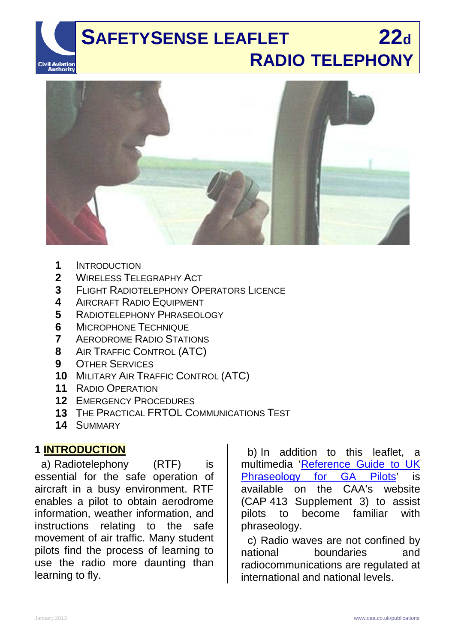# **SAFETYSENSE LEAFLET 22d RADIO TELEPHONY Civil Aviation**<br>**Authority**



- **1** INTRODUCTION<br>**2** WIRELESS TELE
- **2** WIRELESS TELEGRAPHY ACT<br>**3** FLIGHT RADIOTELEPHONY OF
- **3** FLIGHT RADIOTELEPHONY OPERATORS LICENCE<br>4 AIRCRAFT RADIO FOUIPMENT
- **4** AIRCRAFT RADIO EQUIPMENT<br>**5** RADIOTEL EPHONY PHRASEOL
- **5** RADIOTELEPHONY PHRASEOLOGY
- **6** MICROPHONE TECHNIQUE<br>**7** AFRODROME RADIO STATI
- **7** AERODROME RADIO STATIONS
- **8** AIR TRAFFIC CONTROL (ATC)
- **9** OTHER SERVICES
- **10** MILITARY AIR TRAFFIC CONTROL (ATC)
- **11** RADIO OPERATION
- **12** EMERGENCY PROCEDURES
- **13** THE PRACTICAL FRTOL COMMUNICATIONS TEST
- **14** SUMMARY

# **1 INTRODUCTION**

a) Radiotelephony (RTF) is essential for the safe operation of aircraft in a busy environment. RTF enables a pilot to obtain aerodrome information, weather information, and instructions relating to the safe movement of air traffic. Many student pilots find the process of learning to use the radio more daunting than learning to fly.

b) In addition to this leaflet, a multimedia ['Reference Guide to UK](http://www.caa.co.uk/cap413radiotelephonysupplement3)  [Phraseology for GA Pilots'](http://www.caa.co.uk/cap413radiotelephonysupplement3) is available on the CAA's website (CAP 413 Supplement 3) to assist pilots to become familiar with phraseology.

c) Radio waves are not confined by national boundaries and radiocommunications are regulated at international and national levels.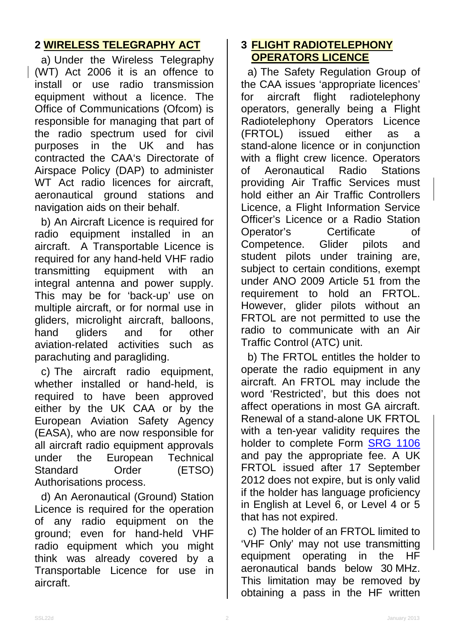# **2 WIRELESS TELEGRAPHY ACT**

a) Under the Wireless Telegraphy (WT) Act 2006 it is an offence to install or use radio transmission equipment without a licence. The Office of Communications (Ofcom) is responsible for managing that part of the radio spectrum used for civil purposes in the UK and has contracted the CAA's Directorate of Airspace Policy (DAP) to administer WT Act radio licences for aircraft, aeronautical ground stations and navigation aids on their behalf.

b) An Aircraft Licence is required for radio equipment installed in an aircraft. A Transportable Licence is required for any hand-held VHF radio transmitting equipment with an integral antenna and power supply. This may be for 'back-up' use on multiple aircraft, or for normal use in gliders, microlight aircraft, balloons, hand gliders and for other aviation-related activities such as parachuting and paragliding.

c) The aircraft radio equipment, whether installed or hand-held, is required to have been approved either by the UK CAA or by the European Aviation Safety Agency (EASA), who are now responsible for all aircraft radio equipment approvals under the European Technical Standard Order (ETSO) Authorisations process.

d) An Aeronautical (Ground) Station Licence is required for the operation of any radio equipment on the ground; even for hand-held VHF radio equipment which you might think was already covered by a Transportable Licence for use in aircraft.

# **3 FLIGHT RADIOTELEPHONY OPERATORS LICENCE**

a) The Safety Regulation Group of the CAA issues 'appropriate licences' for aircraft flight radiotelephony operators, generally being a Flight Radiotelephony Operators Licence (FRTOL) issued either as a stand-alone licence or in conjunction with a flight crew licence. Operators of Aeronautical Radio Stations providing Air Traffic Services must hold either an Air Traffic Controllers Licence, a Flight Information Service Officer's Licence or a Radio Station<br>Operator's Certificate of Operator's Certificate of Competence. Glider pilots and student pilots under training are, subject to certain conditions, exempt under ANO 2009 Article 51 from the requirement to hold an FRTOL. However, glider pilots without an FRTOL are not permitted to use the radio to communicate with an Air Traffic Control (ATC) unit.

b) The FRTOL entitles the holder to operate the radio equipment in any aircraft. An FRTOL may include the word 'Restricted', but this does not affect operations in most GA aircraft. Renewal of a stand-alone UK FRTOL with a ten-year validity requires the holder to complete Form [SRG 1106](http://www.caa.co.uk/SRG1106) and pay the appropriate fee. A UK FRTOL issued after 17 September 2012 does not expire, but is only valid if the holder has language proficiency in English at Level 6, or Level 4 or 5 that has not expired.

c) The holder of an FRTOL limited to 'VHF Only' may not use transmitting equipment operating in the HF aeronautical bands below 30 MHz. This limitation may be removed by obtaining a pass in the HF written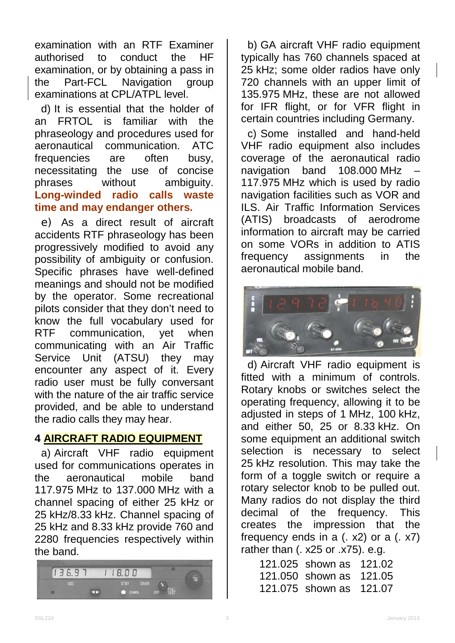examination with an RTF Examiner<br>authorised to conduct the HF authorised to conduct the examination, or by obtaining a pass in<br>the Part-FCL Navigation group the Part-FCL Navigation group examinations at CPL/ATPL level.

d) It is essential that the holder of an FRTOL is familiar with the phraseology and procedures used for aeronautical communication. ATC frequencies are often busy, necessitating the use of concise phrases without ambiguity. **Long-winded radio calls waste time and may endanger others.**

e) As a direct result of aircraft accidents RTF phraseology has been progressively modified to avoid any possibility of ambiguity or confusion. Specific phrases have well-defined meanings and should not be modified by the operator. Some recreational pilots consider that they don't need to know the full vocabulary used for RTF communication, yet when communicating with an Air Traffic Service Unit (ATSU) they may encounter any aspect of it. Every radio user must be fully conversant with the nature of the air traffic service provided, and be able to understand the radio calls they may hear.

# **4 AIRCRAFT RADIO EQUIPMENT**

a) Aircraft VHF radio equipment used for communications operates in the aeronautical mobile band 117.975 MHz to 137.000 MHz with a channel spacing of either 25 kHz or 25 kHz/8.33 kHz. Channel spacing of 25 kHz and 8.33 kHz provide 760 and 2280 frequencies respectively within the band.



b) GA aircraft VHF radio equipment typically has 760 channels spaced at 25 kHz; some older radios have only 720 channels with an upper limit of 135.975 MHz, these are not allowed for IFR flight, or for VFR flight in certain countries including Germany.

c) Some installed and hand-held VHF radio equipment also includes coverage of the aeronautical radio navigation band 108.000 MHz – 117.975 MHz which is used by radio navigation facilities such as VOR and ILS. Air Traffic Information Services (ATIS) broadcasts of aerodrome information to aircraft may be carried on some VORs in addition to ATIS frequency assignments in the aeronautical mobile band.



d) Aircraft VHF radio equipment is fitted with a minimum of controls. Rotary knobs or switches select the operating frequency, allowing it to be adjusted in steps of 1 MHz, 100 kHz, and either 50, 25 or 8.33 kHz. On some equipment an additional switch selection is necessary to select 25 kHz resolution. This may take the form of a toggle switch or require a rotary selector knob to be pulled out. Many radios do not display the third decimal of the frequency. This creates the impression that the frequency ends in a  $(. x2)$  or a  $(. x7)$ rather than (. x25 or .x75). e.g.

| 121.025 shown as 121.02 |  |
|-------------------------|--|
| 121,050 shown as 121,05 |  |
| 121.075 shown as 121.07 |  |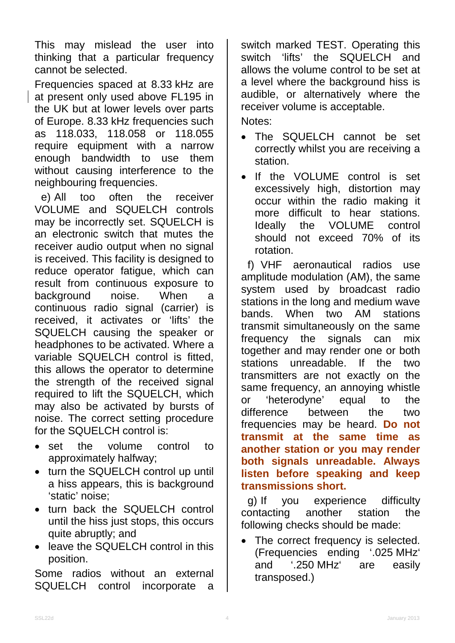This may mislead the user into thinking that a particular frequency cannot be selected.

Frequencies spaced at 8.33 kHz are at present only used above FL195 in the UK but at lower levels over parts of Europe. 8.33 kHz frequencies such as 118.033, 118.058 or 118.055 require equipment with a narrow enough bandwidth to use them without causing interference to the neighbouring frequencies.

e) All too often the receiver VOLUME and SQUELCH controls may be incorrectly set. SQUELCH is an electronic switch that mutes the receiver audio output when no signal is received. This facility is designed to reduce operator fatigue, which can result from continuous exposure to<br>background noise. When a background noise. When a continuous radio signal (carrier) is received, it activates or 'lifts' the SQUELCH causing the speaker or headphones to be activated. Where a variable SQUELCH control is fitted, this allows the operator to determine the strength of the received signal required to lift the SQUELCH, which may also be activated by bursts of noise. The correct setting procedure for the SQUELCH control is:

- set the volume control to approximately halfway;
- turn the SQUELCH control up until a hiss appears, this is background 'static' noise;
- turn back the SQUELCH control until the hiss just stops, this occurs quite abruptly; and
- leave the SQUELCH control in this position.

Some radios without an external SQUELCH control incorporate a

switch marked TEST. Operating this switch 'lifts' the SQUELCH and allows the volume control to be set at a level where the background hiss is audible, or alternatively where the receiver volume is acceptable. Notes:

- The SQUELCH cannot be set correctly whilst you are receiving a station.
- If the VOLUME control is set excessively high, distortion may occur within the radio making it more difficult to hear stations.<br>Ideally the VOLUME control Ideally the VOLUME control should not exceed 70% of its rotation.

f) VHF aeronautical radios use amplitude modulation (AM), the same system used by broadcast radio stations in the long and medium wave bands. When two AM stations transmit simultaneously on the same<br>frequency the signals can mix frequency the signals can mix together and may render one or both stations unreadable. If the two transmitters are not exactly on the same frequency, an annoying whistle or 'heterodyne' equal to the difference between the two frequencies may be heard. **Do not transmit at the same time as another station or you may render both signals unreadable. Always listen before speaking and keep transmissions short.**

g) If you experience difficulty contacting another station the following checks should be made:

The correct frequency is selected. (Frequencies ending '.025 MHz' and '.250 MHz' are easily transposed.)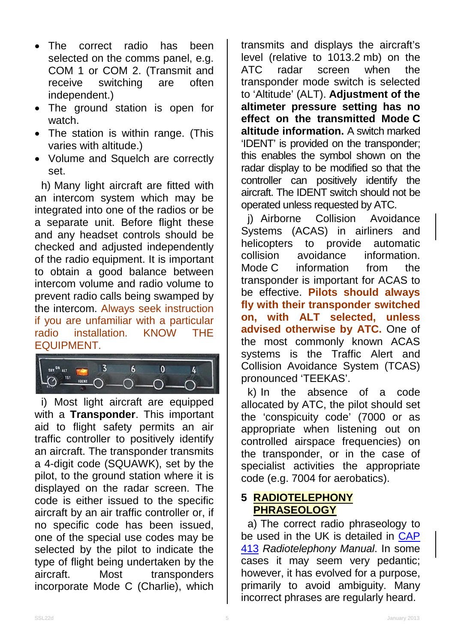- The correct radio has been selected on the comms panel, e.g. COM 1 or COM 2. (Transmit and receive switching are often independent.)
- The ground station is open for watch.
- The station is within range. (This varies with altitude.)
- Volume and Squelch are correctly set.

h) Many light aircraft are fitted with an intercom system which may be integrated into one of the radios or be a separate unit. Before flight these and any headset controls should be checked and adjusted independently of the radio equipment. It is important to obtain a good balance between intercom volume and radio volume to prevent radio calls being swamped by the intercom. Always seek instruction if you are unfamiliar with a particular installation. KNOW THE EQUIPMENT.



i) Most light aircraft are equipped with a **Transponder**. This important aid to flight safety permits an air traffic controller to positively identify an aircraft. The transponder transmits a 4-digit code (SQUAWK), set by the pilot, to the ground station where it is displayed on the radar screen. The code is either issued to the specific aircraft by an air traffic controller or, if no specific code has been issued, one of the special use codes may be selected by the pilot to indicate the type of flight being undertaken by the aircraft. Most transponders incorporate Mode C (Charlie), which

transmits and displays the aircraft's level (relative to 1013.2 mb) on the ATC radar screen when the transponder mode switch is selected to 'Altitude' (ALT). **Adjustment of the altimeter pressure setting has no effect on the transmitted Mode C altitude information.** A switch marked 'IDENT' is provided on the transponder; this enables the symbol shown on the radar display to be modified so that the controller can positively identify the aircraft. The IDENT switch should not be operated unless requested by ATC.

j) Airborne Collision Avoidance Systems (ACAS) in airliners and<br>helicopters to provide automatic helicopters to provide collision avoidance information. Mode C information from the transponder is important for ACAS to be effective. **Pilots should always fly with their transponder switched on, with ALT selected, unless advised otherwise by ATC.** One of the most commonly known ACAS systems is the Traffic Alert and Collision Avoidance System (TCAS) pronounced 'TEEKAS'.

k) In the absence of a code allocated by ATC, the pilot should set the 'conspicuity code' (7000 or as appropriate when listening out on controlled airspace frequencies) on the transponder, or in the case of specialist activities the appropriate code (e.g. 7004 for aerobatics).

### **5 RADIOTELEPHONY PHRASEOLOGY**

a) The correct radio phraseology to be used in the UK is detailed in **CAP** [413](http://www.caa.co.uk/cap413) *Radiotelephony Manual*. In some cases it may seem very pedantic; however, it has evolved for a purpose, primarily to avoid ambiguity. Many incorrect phrases are regularly heard.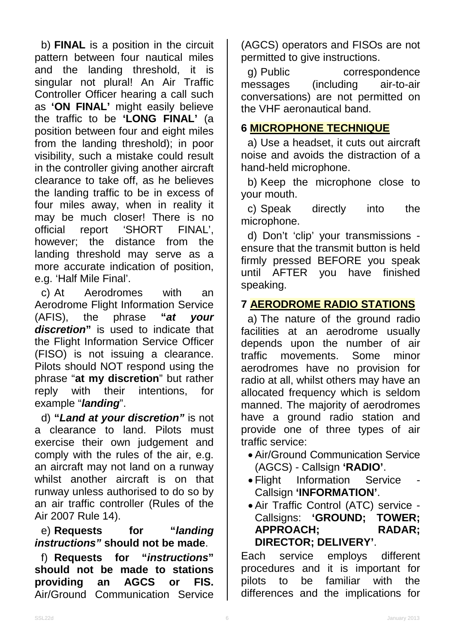b) **FINAL** is a position in the circuit pattern between four nautical miles and the landing threshold, it is singular not plural! An Air Traffic Controller Officer hearing a call such as **'ON FINAL'** might easily believe the traffic to be **'LONG FINAL'** (a position between four and eight miles from the landing threshold); in poor visibility, such a mistake could result in the controller giving another aircraft clearance to take off, as he believes the landing traffic to be in excess of four miles away, when in reality it may be much closer! There is no<br>official report 'SHORT FINAL'. report 'SHORT FINAL', however; the distance from the landing threshold may serve as a more accurate indication of position, e.g. 'Half Mile Final'.

c) At Aerodromes with an Aerodrome Flight Information Service<br>(AFIS), the phrase "at your (AFIS), the phrase **"***at your discretion***"** is used to indicate that the Flight Information Service Officer (FISO) is not issuing a clearance. Pilots should NOT respond using the phrase "**at my discretion**" but rather reply with their intentions, for example "*landing*".

d) **"***Land at your discretion"* is not a clearance to land. Pilots must exercise their own judgement and comply with the rules of the air, e.g. an aircraft may not land on a runway whilst another aircraft is on that runway unless authorised to do so by an air traffic controller (Rules of the Air 2007 Rule 14).

### e) **Requests for "***landing instructions"* **should not be made**.

f) **Requests for "***instructions***" should not be made to stations providing an AGCS or FIS.**  Air/Ground Communication Service

(AGCS) operators and FISOs are not permitted to give instructions.

g) Public correspondence messages (including air-to-air conversations) are not permitted on the VHF aeronautical band.

# **6 MICROPHONE TECHNIQUE**

a) Use a headset, it cuts out aircraft noise and avoids the distraction of a hand-held microphone.

b) Keep the microphone close to your mouth.

c) Speak directly into the microphone.

d) Don't 'clip' your transmissions ensure that the transmit button is held firmly pressed BEFORE you speak until AFTER you have finished speaking.

# **7 AERODROME RADIO STATIONS**

a) The nature of the ground radio facilities at an aerodrome usually depends upon the number of air traffic movements. Some minor aerodromes have no provision for radio at all, whilst others may have an allocated frequency which is seldom manned. The majority of aerodromes have a ground radio station and provide one of three types of air traffic service:

- Air/Ground Communication Service (AGCS) - Callsign **'RADIO'**.
- Flight Information Service Callsign **'INFORMATION'**.
- Air Traffic Control (ATC) service Callsigns: **'GROUND; TOWER; APPROACH; RADAR; DIRECTOR; DELIVERY'**.

Each service employs different procedures and it is important for pilots to be familiar with the differences and the implications for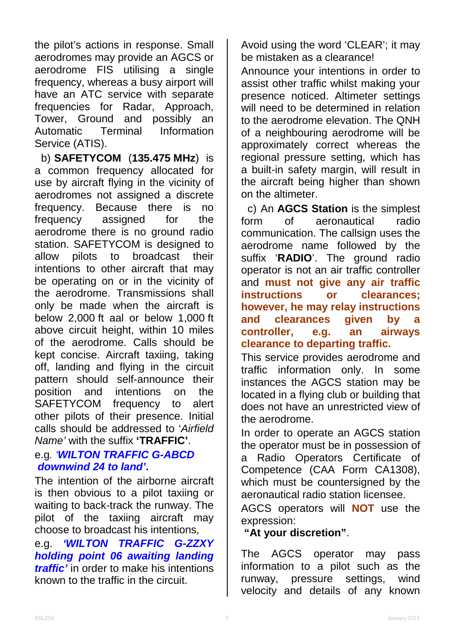the pilot's actions in response. Small aerodromes may provide an AGCS or aerodrome FIS utilising a single frequency, whereas a busy airport will have an ATC service with separate frequencies for Radar, Approach, Tower, Ground and possibly an Terminal Information Service (ATIS).

b) **SAFETYCOM** (**135.475 MHz**) is a common frequency allocated for use by aircraft flying in the vicinity of aerodromes not assigned a discrete frequency. Because there is no frequency assigned for the aerodrome there is no ground radio station. SAFETYCOM is designed to allow pilots to broadcast their intentions to other aircraft that may be operating on or in the vicinity of the aerodrome. Transmissions shall only be made when the aircraft is below 2,000 ft aal or below 1,000 ft above circuit height, within 10 miles of the aerodrome. Calls should be kept concise. Aircraft taxiing, taking off, landing and flying in the circuit pattern should self-announce their position and intentions on the SAFETYCOM frequency to alert other pilots of their presence. Initial calls should be addressed to '*Airfield Name'* with the suffix **'TRAFFIC'**.

# e.g*. 'WILTON TRAFFIC G-ABCD downwind 24 to land'***.**

The intention of the airborne aircraft is then obvious to a pilot taxiing or waiting to back-track the runway. The pilot of the taxiing aircraft may choose to broadcast his intentions,

e.g. *'WILTON TRAFFIC G-ZZXY holding point 06 awaiting landing traffic'* in order to make his intentions known to the traffic in the circuit.

Avoid using the word 'CLEAR'; it may be mistaken as a clearance!

Announce your intentions in order to assist other traffic whilst making your presence noticed. Altimeter settings will need to be determined in relation to the aerodrome elevation. The QNH of a neighbouring aerodrome will be approximately correct whereas the regional pressure setting, which has a built-in safety margin, will result in the aircraft being higher than shown on the altimeter.

c) An **AGCS Station** is the simplest form of aeronautical radio communication. The callsign uses the aerodrome name followed by the suffix '**RADIO**'. The ground radio operator is not an air traffic controller and **must not give any air traffic instructions or clearances; however, he may relay instructions**  and clearances given by **controller, e.g. an airways clearance to departing traffic.**

This service provides aerodrome and traffic information only. In some instances the AGCS station may be located in a flying club or building that does not have an unrestricted view of the aerodrome.

In order to operate an AGCS station the operator must be in possession of a Radio Operators Certificate of Competence (CAA Form CA1308), which must be countersigned by the aeronautical radio station licensee.

AGCS operators will **NOT** use the expression:

#### **"At your discretion"**.

The AGCS operator may pass information to a pilot such as the runway, pressure settings, wind velocity and details of any known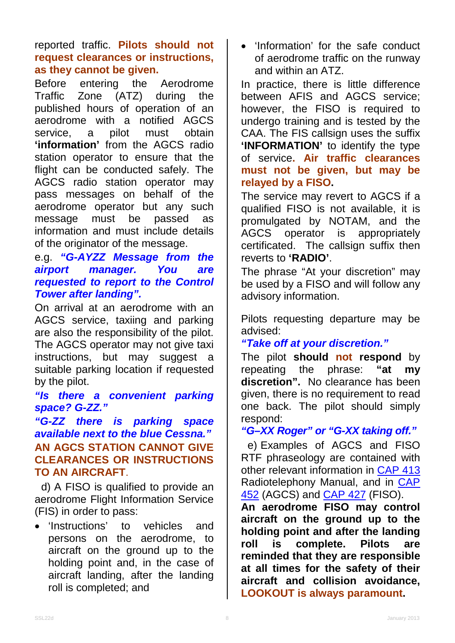reported traffic. **Pilots should not request clearances or instructions, as they cannot be given.**

Before entering the Aerodrome Traffic Zone (ATZ) during the published hours of operation of an aerodrome with a notified AGCS service, a pilot must obtain **'information'** from the AGCS radio station operator to ensure that the flight can be conducted safely. The AGCS radio station operator may pass messages on behalf of the aerodrome operator but any such message must be passed as information and must include details of the originator of the message.

### e.g. *"G-AYZZ Message from the airport manager. You are requested to report to the Control Tower after landing".*

On arrival at an aerodrome with an AGCS service, taxiing and parking are also the responsibility of the pilot. The AGCS operator may not give taxi instructions, but may suggest a suitable parking location if requested by the pilot.

# *"Is there a convenient parking space? G-ZZ."*

### *"G-ZZ there is parking space available next to the blue Cessna."* **AN AGCS STATION CANNOT GIVE CLEARANCES OR INSTRUCTIONS TO AN AIRCRAFT**.

d) A FISO is qualified to provide an aerodrome Flight Information Service (FIS) in order to pass:

• 'Instructions' to vehicles and persons on the aerodrome, to aircraft on the ground up to the holding point and, in the case of aircraft landing, after the landing roll is completed; and

• 'Information' for the safe conduct of aerodrome traffic on the runway and within an ATZ.

In practice, there is little difference between AFIS and AGCS service; however, the FISO is required to undergo training and is tested by the CAA. The FIS callsign uses the suffix 'INFORMATION' to identify the type of service**. Air traffic clearances must not be given, but may be relayed by a FISO.**

The service may revert to AGCS if a qualified FISO is not available, it is promulgated by NOTAM, and the AGCS operator is appropriately certificated. The callsign suffix then reverts to **'RADIO'**.

The phrase "At your discretion" may be used by a FISO and will follow any advisory information.

Pilots requesting departure may be advised:

### *"Take off at your discretion."*

The pilot **should not respond** by repeating the phrase: **"at my discretion".** No clearance has been given, there is no requirement to read one back. The pilot should simply respond:

### *"G–XX Roger" or "G-XX taking off."*

e) Examples of AGCS and FISO RTF phraseology are contained with other relevant information in [CAP 413](http://www.caa.co.uk/cap413) Radiotelephony Manual, and in [CAP](http://www.caa.co.uk/cap452)  [452](http://www.caa.co.uk/cap452) (AGCS) and [CAP 427](http://www.caa.co.uk/cap427) (FISO).

**An aerodrome FISO may control aircraft on the ground up to the holding point and after the landing roll is complete. Pilots are reminded that they are responsible at all times for the safety of their aircraft and collision avoidance, LOOKOUT is always paramount.**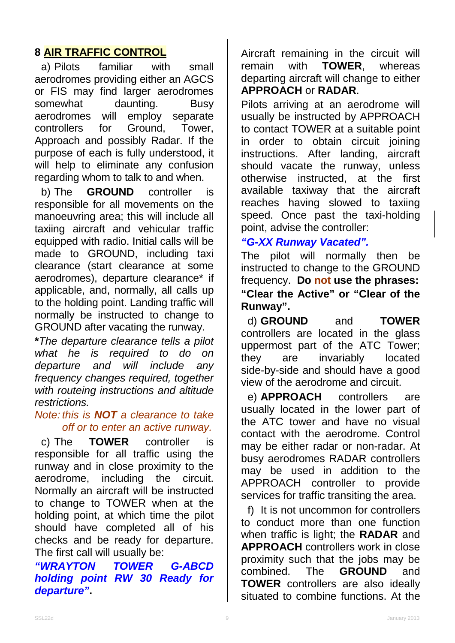# **8 AIR TRAFFIC CONTROL**

a) Pilots familiar with small aerodromes providing either an AGCS or FIS may find larger aerodromes somewhat daunting. Busy<br>aerodromes will employ separate aerodromes will employ controllers for Ground, Tower, Approach and possibly Radar. If the purpose of each is fully understood, it will help to eliminate any confusion regarding whom to talk to and when.

b) The **GROUND** controller is responsible for all movements on the manoeuvring area; this will include all taxiing aircraft and vehicular traffic equipped with radio. Initial calls will be made to GROUND, including taxi clearance (start clearance at some aerodromes), departure clearance\* if applicable, and, normally, all calls up to the holding point. Landing traffic will normally be instructed to change to GROUND after vacating the runway.

**\****The departure clearance tells a pilot what he is required to do on departure and will include any frequency changes required, together with routeing instructions and altitude restrictions.*

#### *Note: this is NOT a clearance to take off or to enter an active runway.*

c) The **TOWER** controller is responsible for all traffic using the runway and in close proximity to the aerodrome, including the circuit. Normally an aircraft will be instructed to change to TOWER when at the holding point, at which time the pilot should have completed all of his checks and be ready for departure. The first call will usually be:

*"WRAYTON TOWER G-ABCD holding point RW 30 Ready for departure"***.**

Aircraft remaining in the circuit will remain with **TOWER**, whereas departing aircraft will change to either **APPROACH** or **RADAR**.

Pilots arriving at an aerodrome will usually be instructed by APPROACH to contact TOWER at a suitable point in order to obtain circuit joining instructions. After landing, aircraft should vacate the runway, unless otherwise instructed, at the first available taxiway that the aircraft reaches having slowed to taxiing speed. Once past the taxi-holding point, advise the controller:

#### *"G-XX Runway Vacated".*

The pilot will normally then be instructed to change to the GROUND frequency. **Do not use the phrases: "Clear the Active" or "Clear of the Runway".**

d) **GROUND** and **TOWER** controllers are located in the glass uppermost part of the ATC Tower; they are invariably located side-by-side and should have a good view of the aerodrome and circuit.

e) **APPROACH** controllers are usually located in the lower part of the ATC tower and have no visual contact with the aerodrome. Control may be either radar or non-radar. At busy aerodromes RADAR controllers may be used in addition to the APPROACH controller to provide services for traffic transiting the area.

f) It is not uncommon for controllers to conduct more than one function when traffic is light; the **RADAR** and **APPROACH** controllers work in close proximity such that the jobs may be combined. The **GROUND** and **TOWER** controllers are also ideally situated to combine functions. At the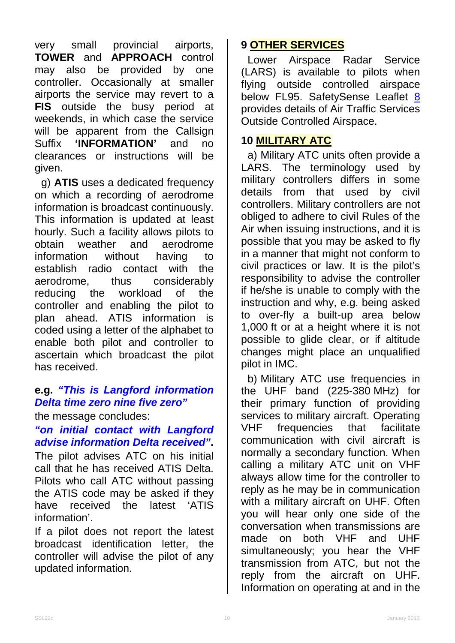very small provincial airports, **TOWER** and **APPROACH** control may also be provided by one controller. Occasionally at smaller airports the service may revert to a **FIS** outside the busy period at weekends, in which case the service will be apparent from the Callsign<br>Suffix **'INFORMATION'** and no 'INFORMATION' and no clearances or instructions will be given.

g) **ATIS** uses a dedicated frequency on which a recording of aerodrome information is broadcast continuously. This information is updated at least hourly. Such a facility allows pilots to obtain weather and aerodrome<br>information without having to information without having to establish radio contact with the aerodrome, thus considerably reducing the workload of the controller and enabling the pilot to plan ahead. ATIS information is coded using a letter of the alphabet to enable both pilot and controller to ascertain which broadcast the pilot has received.

# **e.g.** *"This is Langford information Delta time zero nine five zero"*

the message concludes:

# *"on initial contact with Langford advise information Delta received"***.**

The pilot advises ATC on his initial call that he has received ATIS Delta. Pilots who call ATC without passing the ATIS code may be asked if they have received the latest 'ATIS information'.

If a pilot does not report the latest broadcast identification letter, the controller will advise the pilot of any updated information.

# **9 OTHER SERVICES**

Lower Airspace Radar Service (LARS) is available to pilots when flying outside controlled airspace below FL95. SafetySense Leaflet <u>[8](http://www.caa.co.uk/safetysenseleaflet08)</u> provides details of Air Traffic Services Outside Controlled Airspace.

# **10 MILITARY ATC**

a) Military ATC units often provide a LARS. The terminology used by military controllers differs in some details from that used by civil controllers. Military controllers are not obliged to adhere to civil Rules of the Air when issuing instructions, and it is possible that you may be asked to fly in a manner that might not conform to civil practices or law. It is the pilot's responsibility to advise the controller if he/she is unable to comply with the instruction and why, e.g. being asked to over-fly a built-up area below 1,000 ft or at a height where it is not possible to glide clear, or if altitude changes might place an unqualified pilot in IMC.

b) Military ATC use frequencies in the UHF band (225-380 MHz) for their primary function of providing services to military aircraft. Operating VHF frequencies that facilitate communication with civil aircraft is normally a secondary function. When calling a military ATC unit on VHF always allow time for the controller to reply as he may be in communication with a military aircraft on UHF. Often you will hear only one side of the conversation when transmissions are made on both VHF and UHF simultaneously; you hear the VHF transmission from ATC, but not the reply from the aircraft on UHF. Information on operating at and in the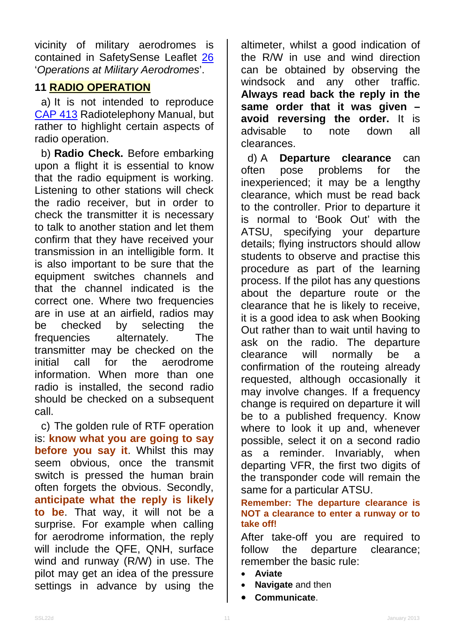vicinity of military aerodromes is contained in SafetySense Leaflet [26](http://www.caa.co.uk/safetysenseleaflet26) '*Operations at Military Aerodromes*'.

# **11 RADIO OPERATION**

a) It is not intended to reproduce [CAP 413](http://www.caa.co.uk/cap413) Radiotelephony Manual, but rather to highlight certain aspects of radio operation.

b) **Radio Check.** Before embarking upon a flight it is essential to know that the radio equipment is working. Listening to other stations will check the radio receiver, but in order to check the transmitter it is necessary to talk to another station and let them confirm that they have received your transmission in an intelligible form. It is also important to be sure that the equipment switches channels and that the channel indicated is the correct one. Where two frequencies are in use at an airfield, radios may be checked by selecting the frequencies alternately. The transmitter may be checked on the initial call for the aerodrome information. When more than one radio is installed, the second radio should be checked on a subsequent call.

c) The golden rule of RTF operation is: **know what you are going to say before you say it**. Whilst this may seem obvious, once the transmit switch is pressed the human brain often forgets the obvious. Secondly, **anticipate what the reply is likely to be**. That way, it will not be a surprise. For example when calling for aerodrome information, the reply will include the QFE, QNH, surface wind and runway (R/W) in use. The pilot may get an idea of the pressure settings in advance by using the

altimeter, whilst a good indication of the R/W in use and wind direction can be obtained by observing the windsock and any other traffic. **Always read back the reply in the same order that it was given – avoid reversing the order.** It is<br>advisable to note down all advisable to note down all clearances.

d) A **Departure clearance** can often pose problems for the inexperienced; it may be a lengthy clearance, which must be read back to the controller. Prior to departure it is normal to 'Book Out' with the ATSU, specifying your departure details; flying instructors should allow students to observe and practise this procedure as part of the learning process. If the pilot has any questions about the departure route or the clearance that he is likely to receive, it is a good idea to ask when Booking Out rather than to wait until having to ask on the radio. The departure clearance will normally be a confirmation of the routeing already requested, although occasionally it may involve changes. If a frequency change is required on departure it will be to a published frequency. Know where to look it up and, whenever possible, select it on a second radio as a reminder. Invariably, when departing VFR, the first two digits of the transponder code will remain the same for a particular ATSU.

#### **Remember: The departure clearance is NOT a clearance to enter a runway or to take off!**

After take-off you are required to follow the departure clearance; remember the basic rule:

- **Aviate**
- **Navigate** and then
- **Communicate**.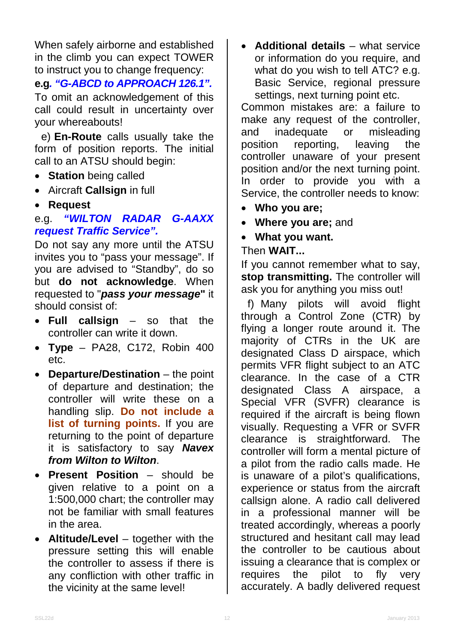When safely airborne and established in the climb you can expect TOWER to instruct you to change frequency:

# **e.g***. "G-ABCD to APPROACH 126.1".*

To omit an acknowledgement of this call could result in uncertainty over your whereabouts!

e) **En-Route** calls usually take the form of position reports. The initial call to an ATSU should begin:

- **Station** being called
- Aircraft **Callsign** in full
- **Request**

### e.g. *"WILTON RADAR G-AAXX request Traffic Service".*

Do not say any more until the ATSU invites you to "pass your message". If you are advised to "Standby", do so but **do not acknowledge**. When requested to "*pass your message***"** it should consist of:

- **Full callsign** so that the controller can write it down.
- **Type** PA28, C172, Robin 400 etc.
- **Departure/Destination** the point of departure and destination; the controller will write these on a handling slip. **Do not include a list of turning points.** If you are returning to the point of departure it is satisfactory to say *Navex from Wilton to Wilton*.
- **Present Position** should be given relative to a point on a 1:500,000 chart; the controller may not be familiar with small features in the area.
- **Altitude/Level** together with the pressure setting this will enable the controller to assess if there is any confliction with other traffic in the vicinity at the same level!

• **Additional details** – what service or information do you require, and what do you wish to tell ATC? e.g. Basic Service, regional pressure settings, next turning point etc.

Common mistakes are: a failure to make any request of the controller, and inadequate or misleading position reporting, leaving the controller unaware of your present position and/or the next turning point. In order to provide you with a Service, the controller needs to know:

- **Who you are;**
- **Where you are;** and
- **What you want.**

### Then **WAIT...**

If you cannot remember what to say, **stop transmitting.** The controller will ask you for anything you miss out!

f) Many pilots will avoid flight through a Control Zone (CTR) by flying a longer route around it. The majority of CTRs in the UK are designated Class D airspace, which permits VFR flight subject to an ATC clearance. In the case of a CTR designated Class A airspace, a Special VFR (SVFR) clearance is required if the aircraft is being flown visually. Requesting a VFR or SVFR clearance is straightforward. The controller will form a mental picture of a pilot from the radio calls made. He is unaware of a pilot's qualifications, experience or status from the aircraft callsign alone. A radio call delivered in a professional manner will be treated accordingly, whereas a poorly structured and hesitant call may lead the controller to be cautious about issuing a clearance that is complex or requires the pilot to fly very accurately. A badly delivered request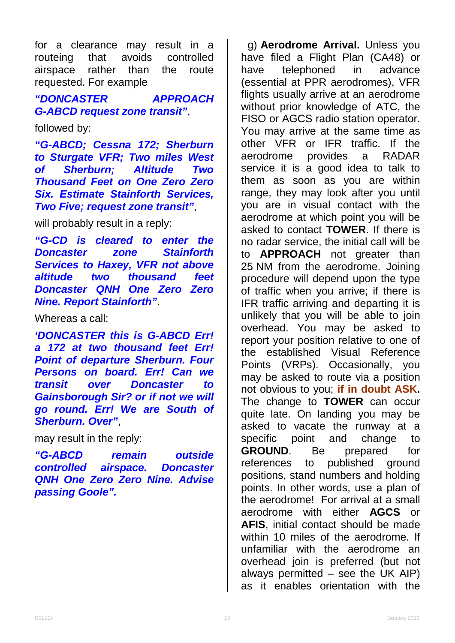for a clearance may result in a<br>routeing that avoids controlled routeing that avoids controlled airspace rather than the route requested. For example

### *"DONCASTER APPROACH G-ABCD request zone transit"*,

followed by:

*"G-ABCD; Cessna 172; Sherburn to Sturgate VFR; Two miles West of Sherburn; Altitude Two Thousand Feet on One Zero Zero Six. Estimate Stainforth Services, Two Five; request zone transit"*,

will probably result in a reply:

*"G-CD is cleared to enter the Doncaster zone Stainforth Services to Haxey, VFR not above altitude two thousand feet Doncaster QNH One Zero Zero Nine. Report Stainforth"*.

Whereas a call:

*'DONCASTER this is G-ABCD Err! a 172 at two thousand feet Err! Point of departure Sherburn. Four Persons on board. Err! Can we transit over Doncaster to Gainsborough Sir? or if not we will go round. Err! We are South of Sherburn. Over"*,

may result in the reply:

*"G-ABCD remain outside controlled airspace. Doncaster QNH One Zero Zero Nine. Advise passing Goole".*

g) **Aerodrome Arrival.** Unless you have filed a Flight Plan (CA48) or have telephoned in advance (essential at PPR aerodromes), VFR flights usually arrive at an aerodrome without prior knowledge of ATC, the FISO or AGCS radio station operator. You may arrive at the same time as other VFR or IFR traffic. If the aerodrome provides a RADAR service it is a good idea to talk to them as soon as you are within range, they may look after you until you are in visual contact with the aerodrome at which point you will be asked to contact **TOWER**. If there is no radar service, the initial call will be to **APPROACH** not greater than 25 NM from the aerodrome. Joining procedure will depend upon the type of traffic when you arrive; if there is IFR traffic arriving and departing it is unlikely that you will be able to join overhead. You may be asked to report your position relative to one of the established Visual Reference Points (VRPs). Occasionally, you may be asked to route via a position not obvious to you; **if in doubt ASK.** The change to **TOWER** can occur quite late. On landing you may be asked to vacate the runway at a specific point and change to **GROUND**. Be prepared for references to published around references to published positions, stand numbers and holding points. In other words, use a plan of the aerodrome! For arrival at a small aerodrome with either **AGCS** or **AFIS**, initial contact should be made within 10 miles of the aerodrome. If unfamiliar with the aerodrome an overhead join is preferred (but not always permitted  $-$  see the UK AIP) as it enables orientation with the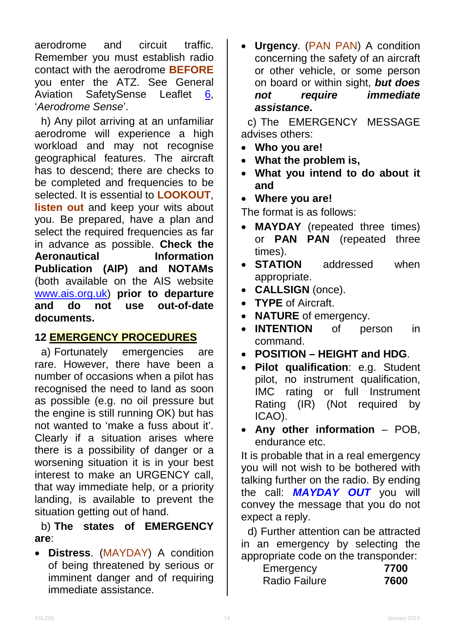aerodrome and circuit traffic. Remember you must establish radio contact with the aerodrome **BEFORE** you enter the ATZ. See General Aviation SafetySense Leaflet [6,](http://www.caa.co.uk/safetysenseleaflet06) '*Aerodrome Sense*'.

h) Any pilot arriving at an unfamiliar aerodrome will experience a high workload and may not recognise geographical features. The aircraft has to descend; there are checks to be completed and frequencies to be selected. It is essential to **LOOKOUT**, **listen out** and keep your wits about you. Be prepared, have a plan and select the required frequencies as far in advance as possible. **Check the Aeronautical Publication (AIP) and NOTAMs**  (both available on the AIS website [www.ais.org.uk\)](http://www.ais.org.uk/) **prior to departure use out-of-date documents.**

# **12 EMERGENCY PROCEDURES**

a) Fortunately emergencies are rare. However, there have been a number of occasions when a pilot has recognised the need to land as soon as possible (e.g. no oil pressure but the engine is still running OK) but has not wanted to 'make a fuss about it'. Clearly if a situation arises where there is a possibility of danger or a worsening situation it is in your best interest to make an URGENCY call, that way immediate help, or a priority landing, is available to prevent the situation getting out of hand.

b) **The states of EMERGENCY are**:

• **Distress**. (MAYDAY) A condition of being threatened by serious or imminent danger and of requiring immediate assistance.

• **Urgency**. (PAN PAN) A condition concerning the safety of an aircraft or other vehicle, or some person on board or within sight, *but does not require immediate assistance***.**

c) The EMERGENCY MESSAGE advises others:

- **Who you are!**
- **What the problem is,**
- **What you intend to do about it and**
- **Where you are!**

The format is as follows:

- **MAYDAY** (repeated three times) or **PAN PAN** (repeated three times).
- **STATION** addressed when appropriate.
- **CALLSIGN** (once).
- **TYPE** of Aircraft.
- **NATURE** of emergency.
- **INTENTION** of person in command.
- **POSITION – HEIGHT and HDG**.
- **Pilot qualification**: e.g. Student pilot, no instrument qualification, IMC rating or full Instrument Rating (IR) (Not required by ICAO).
- **Any other information** POB, endurance etc.

It is probable that in a real emergency you will not wish to be bothered with talking further on the radio. By ending the call: *MAYDAY OUT* you will convey the message that you do not expect a reply.

d) Further attention can be attracted in an emergency by selecting the appropriate code on the transponder:

| Emergency            | 7700 |
|----------------------|------|
| <b>Radio Failure</b> | 7600 |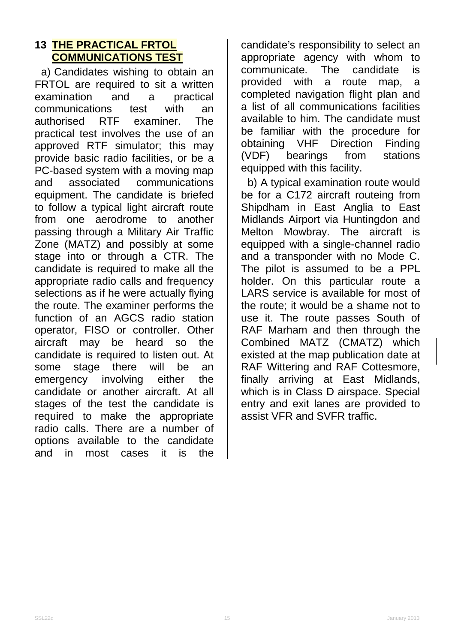# **13 THE PRACTICAL FRTOL COMMUNICATIONS TEST**

a) Candidates wishing to obtain an FRTOL are required to sit a written<br>examination and a practical examination and a practical communications test with an authorised RTF examiner. The practical test involves the use of an approved RTF simulator; this may provide basic radio facilities, or be a PC-based system with a moving map<br>and associated communications and associated communications equipment. The candidate is briefed to follow a typical light aircraft route from one aerodrome to another passing through a Military Air Traffic Zone (MATZ) and possibly at some stage into or through a CTR. The candidate is required to make all the appropriate radio calls and frequency selections as if he were actually flying the route. The examiner performs the function of an AGCS radio station operator, FISO or controller. Other aircraft may be heard so the candidate is required to listen out. At some stage there will be an emergency involving either the candidate or another aircraft. At all stages of the test the candidate is required to make the appropriate radio calls. There are a number of options available to the candidate and in most cases it is the

candidate's responsibility to select an appropriate agency with whom to communicate. The candidate is provided with a route map, a completed navigation flight plan and a list of all communications facilities available to him. The candidate must be familiar with the procedure for obtaining VHF Direction Finding (VDF) bearings from stations equipped with this facility.

b) A typical examination route would be for a C172 aircraft routeing from Shipdham in East Anglia to East Midlands Airport via Huntingdon and Melton Mowbray. The aircraft is equipped with a single-channel radio and a transponder with no Mode C. The pilot is assumed to be a PPL holder. On this particular route a LARS service is available for most of the route; it would be a shame not to use it. The route passes South of RAF Marham and then through the Combined MATZ (CMATZ) which existed at the map publication date at RAF Wittering and RAF Cottesmore, finally arriving at East Midlands, which is in Class D airspace. Special entry and exit lanes are provided to assist VFR and SVFR traffic.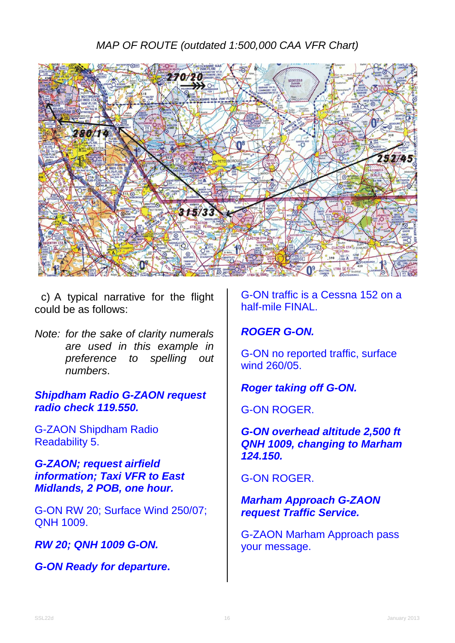# *MAP OF ROUTE (outdated 1:500,000 CAA VFR Chart)*



c) A typical narrative for the flight could be as follows:

*Note: for the sake of clarity numerals are used in this example in preference to spelling out numbers*.

*Shipdham Radio G-ZAON request radio check 119.550.*

G-ZAON Shipdham Radio Readability 5.

*G-ZAON; request airfield information; Taxi VFR to East Midlands, 2 POB, one hour.*

G-ON RW 20; Surface Wind 250/07; QNH 1009.

*RW 20; QNH 1009 G-ON.*

*G-ON Ready for departure***.**

G-ON traffic is a Cessna 152 on a half-mile FINAL.

### *ROGER G-ON.*

G-ON no reported traffic, surface wind 260/05.

### *Roger taking off G-ON.*

G-ON ROGER.

*G-ON overhead altitude 2,500 ft QNH 1009, changing to Marham 124.150.*

G-ON ROGER.

*Marham Approach G-ZAON request Traffic Service.*

G-ZAON Marham Approach pass your message.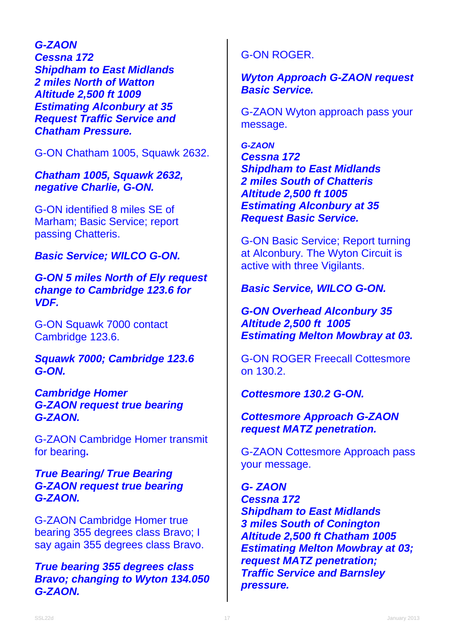*G-ZAON Cessna 172 Shipdham to East Midlands 2 miles North of Watton Altitude 2,500 ft 1009 Estimating Alconbury at 35 Request Traffic Service and Chatham Pressure.*

G-ON Chatham 1005, Squawk 2632.

*Chatham 1005, Squawk 2632, negative Charlie, G-ON.*

G-ON identified 8 miles SE of Marham; Basic Service; report passing Chatteris.

*Basic Service; WILCO G-ON.*

*G-ON 5 miles North of Ely request change to Cambridge 123.6 for VDF.*

G-ON Squawk 7000 contact Cambridge 123.6.

*Squawk 7000; Cambridge 123.6 G-ON.*

*Cambridge Homer G-ZAON request true bearing G-ZAON.*

G-ZAON Cambridge Homer transmit for bearing**.**

#### *True Bearing/ True Bearing G-ZAON request true bearing G-ZAON.*

G-ZAON Cambridge Homer true bearing 355 degrees class Bravo; I say again 355 degrees class Bravo.

*True bearing 355 degrees class Bravo; changing to Wyton 134.050 G-ZAON.*

# G-ON ROGER.

#### *Wyton Approach G-ZAON request Basic Service.*

G-ZAON Wyton approach pass your message.

*G-ZAON Cessna 172 Shipdham to East Midlands 2 miles South of Chatteris Altitude 2,500 ft 1005 Estimating Alconbury at 35 Request Basic Service.*

G-ON Basic Service; Report turning at Alconbury. The Wyton Circuit is active with three Vigilants.

*Basic Service, WILCO G-ON.*

*G-ON Overhead Alconbury 35 Altitude 2,500 ft 1005 Estimating Melton Mowbray at 03.*

G-ON ROGER Freecall Cottesmore on 130.2.

*Cottesmore 130.2 G-ON.*

*Cottesmore Approach G-ZAON request MATZ penetration.*

G-ZAON Cottesmore Approach pass your message.

*G- ZAON Cessna 172 Shipdham to East Midlands 3 miles South of Conington Altitude 2,500 ft Chatham 1005 Estimating Melton Mowbray at 03; request MATZ penetration; Traffic Service and Barnsley pressure.*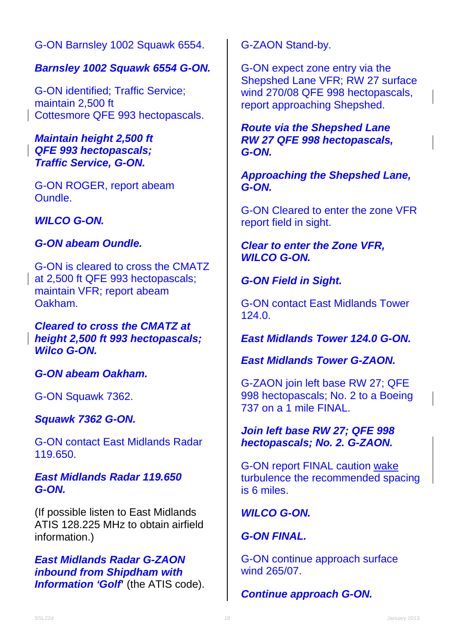G-ON Barnsley 1002 Squawk 6554.

### *Barnsley 1002 Squawk 6554 G-ON.*

G-ON identified; Traffic Service; maintain 2,500 ft Cottesmore QFE 993 hectopascals.

#### *Maintain height 2,500 ft QFE 993 hectopascals; Traffic Service, G-ON.*

G-ON ROGER, report abeam Oundle.

*WILCO G-ON.*

### *G-ON abeam Oundle.*

G-ON is cleared to cross the CMATZ at 2,500 ft QFE 993 hectopascals; maintain VFR; report abeam Oakham.

#### *Cleared to cross the CMATZ at height 2,500 ft 993 hectopascals; Wilco G-ON.*

*G-ON abeam Oakham.*

G-ON Squawk 7362.

# *Squawk 7362 G-ON.*

G-ON contact East Midlands Radar 119.650.

#### *East Midlands Radar 119.650 G-ON.*

(If possible listen to East Midlands ATIS 128.225 MHz to obtain airfield information.)

*East Midlands Radar G-ZAON inbound from Shipdham with*  **Information 'Golf'** (the ATIS code). G-ZAON Stand-by.

G-ON expect zone entry via the Shepshed Lane VFR; RW 27 surface wind 270/08 QFE 998 hectopascals, report approaching Shepshed.

### *Route via the Shepshed Lane RW 27 QFE 998 hectopascals, G-ON.*

*Approaching the Shepshed Lane, G-ON.*

G-ON Cleared to enter the zone VFR report field in sight.

### *Clear to enter the Zone VFR, WILCO G-ON.*

# *G-ON Field in Sight.*

G-ON contact East Midlands Tower 124.0.

*East Midlands Tower 124.0 G-ON.*

*East Midlands Tower G-ZAON.*

G-ZAON join left base RW 27; QFE 998 hectopascals; No. 2 to a Boeing 737 on a 1 mile FINAL.

*Join left base RW 27; QFE 998 hectopascals; No. 2. G-ZAON.*

G-ON report FINAL caution [wake](http://www.caa.co.uk/application.aspx?categoryid=33&pagetype=65&applicationid=11&mode=detail&id=1169) turbulence the recommended spacing is 6 miles.

*WILCO G-ON.*

# *G-ON FINAL.*

G-ON continue approach surface wind 265/07.

# *Continue approach G-ON.*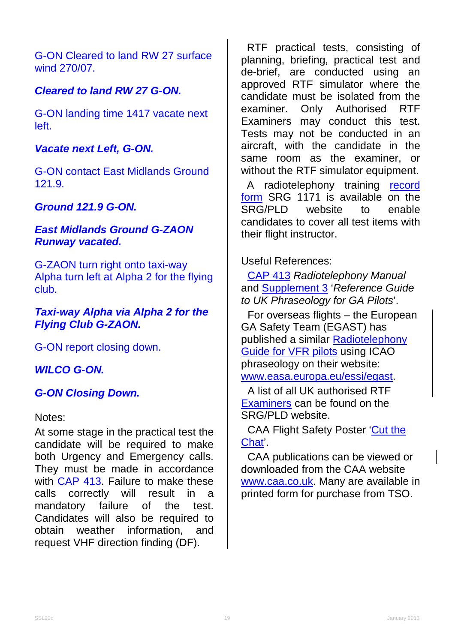G-ON Cleared to land RW 27 surface wind 270/07.

# *Cleared to land RW 27 G-ON.*

G-ON landing time 1417 vacate next left.

### *Vacate next Left, G-ON.*

G-ON contact East Midlands Ground 121.9.

# *Ground 121.9 G-ON.*

#### *East Midlands Ground G-ZAON Runway vacated.*

G-ZAON turn right onto taxi-way Alpha turn left at Alpha 2 for the flying club.

### *Taxi-way Alpha via Alpha 2 for the Flying Club G-ZAON.*

G-ON report closing down.

### *WILCO G-ON.*

### *G-ON Closing Down.*

Notes:

At some stage in the practical test the candidate will be required to make both Urgency and Emergency calls. They must be made in accordance with [CAP 413.](http://www.caa.co.uk/cap413) Failure to make these calls correctly will result in a mandatory failure of the test. Candidates will also be required to obtain weather information, and request VHF direction finding (DF).

 RTF practical tests, consisting of planning, briefing, practical test and de-brief, are conducted using an approved RTF simulator where the candidate must be isolated from the examiner. Only Authorised RTF Examiners may conduct this test. Tests may not be conducted in an aircraft, with the candidate in the same room as the examiner, or without the RTF simulator equipment.

 A radiotelephony training [record](http://www.caa.co.uk/srg1171)   $form SRG 1171$  $form SRG 1171$  $form SRG 1171$  is available on the  $SRG/PID$  website to enable</u> SRG/PLD website to enable candidates to cover all test items with their flight instructor.

Useful References:

[CAP 413](http://www.caa.co.uk/cap413) *Radiotelephony Manual* and [Supplement 3](http://www.caa.co.uk/cap413radiotelephonysupplement3) '*Reference Guide to UK Phraseology for GA Pilots*'.

For overseas flights – the European GA Safety Team (EGAST) has published a similar [Radiotelephony](https://easa.europa.eu/essi/egast/wp-content/uploads/2011/03/EGAST_Radiotelephony-guide-for-VFR-pilots.pdf)  [Guide for VFR pilots](https://easa.europa.eu/essi/egast/wp-content/uploads/2011/03/EGAST_Radiotelephony-guide-for-VFR-pilots.pdf) using ICAO phraseology on their website: www.easa.europa.eu/essi/egast.

A list of all UK authorised RTF [Examiners](http://www.caa.co.uk/rtexaminers) can be found on the SRG/PLD website.

CAA Flight Safety Poster ['Cut the](http://www.caa.co.uk/application.aspx?catid=33&pagetype=65&appid=11&mode=detail&id=2164)  [Chat'](http://www.caa.co.uk/application.aspx?catid=33&pagetype=65&appid=11&mode=detail&id=2164).

CAA publications can be viewed or downloaded from the CAA website [www.caa.co.uk.](http://www.caa.co.uk/) Many are available in printed form for purchase from TSO.